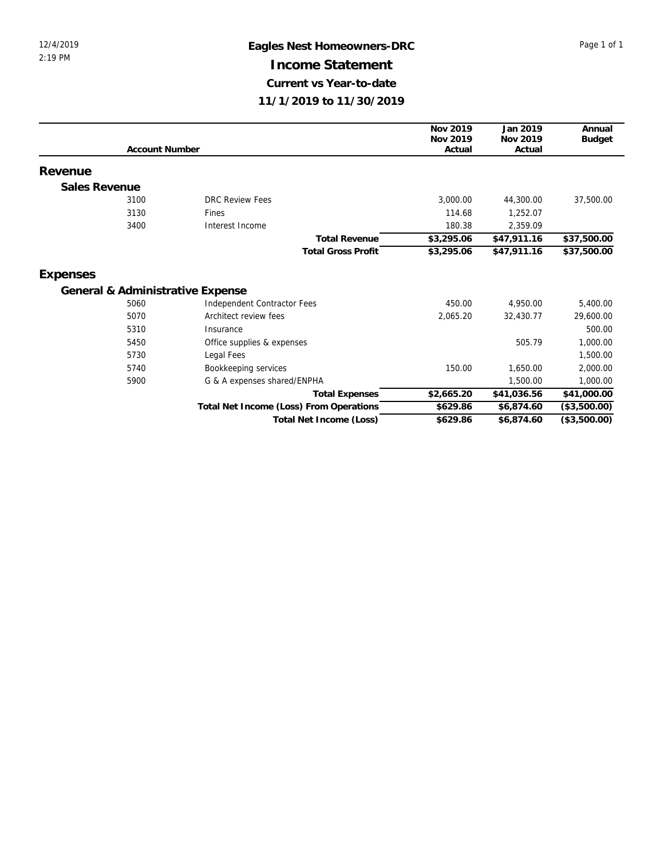## 12/4/2019 **Eagles Nest Homeowners-DRC** Page 1 of 1 **Income Statement Current vs Year-to-date 11/1/2019 to 11/30/2019**

|               |                       |                                         | Nov 2019   | Jan 2019                                                                                                          | Annual        |
|---------------|-----------------------|-----------------------------------------|------------|-------------------------------------------------------------------------------------------------------------------|---------------|
|               |                       |                                         | Nov 2019   | Nov 2019                                                                                                          | <b>Budget</b> |
|               | <b>Account Number</b> |                                         | Actual     | Actual                                                                                                            |               |
| Revenue       |                       |                                         |            |                                                                                                                   |               |
| Sales Revenue |                       |                                         |            |                                                                                                                   |               |
|               | 3100                  | <b>DRC Review Fees</b>                  | 3,000.00   | 44,300.00                                                                                                         | 37,500.00     |
|               | 3130                  | Fines                                   | 114.68     | 1,252.07                                                                                                          |               |
|               | 3400                  | Interest Income                         | 180.38     | 2,359.09                                                                                                          |               |
|               |                       | <b>Total Revenue</b>                    | \$3,295.06 | \$47,911.16                                                                                                       | \$37,500.00   |
|               |                       | <b>Total Gross Profit</b>               | \$3,295.06 | \$47,911.16<br>4,950.00<br>32,430.77<br>505.79<br>1,650.00<br>1,500.00<br>\$41,036.56<br>\$6,874.60<br>\$6,874.60 | \$37,500.00   |
| Expenses      |                       |                                         |            |                                                                                                                   |               |
|               |                       | General & Administrative Expense        |            |                                                                                                                   |               |
|               | 5060                  | Independent Contractor Fees             | 450.00     |                                                                                                                   | 5,400.00      |
|               | 5070                  | Architect review fees                   | 2,065.20   |                                                                                                                   | 29,600.00     |
|               | 5310                  | Insurance                               |            |                                                                                                                   | 500.00        |
|               | 5450                  | Office supplies & expenses              |            |                                                                                                                   | 1,000.00      |
|               | 5730                  | Legal Fees                              |            |                                                                                                                   | 1,500.00      |
|               | 5740                  | Bookkeeping services                    | 150.00     |                                                                                                                   | 2,000.00      |
|               | 5900                  | G & A expenses shared/ENPHA             |            |                                                                                                                   | 1,000.00      |
|               |                       | <b>Total Expenses</b>                   | \$2,665.20 |                                                                                                                   | \$41,000.00   |
|               |                       | Total Net Income (Loss) From Operations | \$629.86   |                                                                                                                   | (\$3,500.00)  |
|               |                       | Total Net Income (Loss)                 | \$629.86   |                                                                                                                   | (\$3,500.00)  |